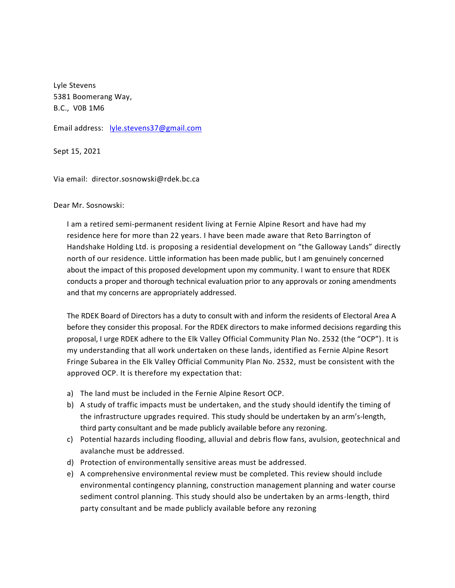Lyle Stevens 5381 Boomerang Way, B.C., V0B 1M6

Email address: [lyle.stevens37@gmail.com](mailto:lyle.stevens37@gmail.com)

Sept 15, 2021

Via email: director.sosnowski@rdek.bc.ca

Dear Mr. Sosnowski:

I am a retired semi-permanent resident living at Fernie Alpine Resort and have had my residence here for more than 22 years. I have been made aware that Reto Barrington of Handshake Holding Ltd. is proposing a residential development on "the Galloway Lands" directly north of our residence. Little information has been made public, but I am genuinely concerned about the impact of this proposed development upon my community. I want to ensure that RDEK conducts a proper and thorough technical evaluation prior to any approvals or zoning amendments and that my concerns are appropriately addressed.

The RDEK Board of Directors has a duty to consult with and inform the residents of Electoral Area A before they consider this proposal. For the RDEK directors to make informed decisions regarding this proposal, I urge RDEK adhere to the Elk Valley Official Community Plan No. 2532 (the "OCP"). It is my understanding that all work undertaken on these lands, identified as Fernie Alpine Resort Fringe Subarea in the Elk Valley Official Community Plan No. 2532, must be consistent with the approved OCP. It is therefore my expectation that:

- a) The land must be included in the Fernie Alpine Resort OCP.
- b) A study of traffic impacts must be undertaken, and the study should identify the timing of the infrastructure upgrades required. This study should be undertaken by an arm's-length, third party consultant and be made publicly available before any rezoning.
- c) Potential hazards including flooding, alluvial and debris flow fans, avulsion, geotechnical and avalanche must be addressed.
- d) Protection of environmentally sensitive areas must be addressed.
- e) A comprehensive environmental review must be completed. This review should include environmental contingency planning, construction management planning and water course sediment control planning. This study should also be undertaken by an arms-length, third party consultant and be made publicly available before any rezoning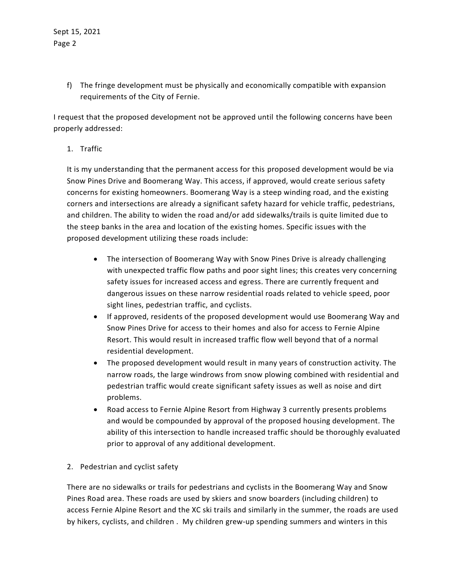f) The fringe development must be physically and economically compatible with expansion requirements of the City of Fernie.

I request that the proposed development not be approved until the following concerns have been properly addressed:

1. Traffic

It is my understanding that the permanent access for this proposed development would be via Snow Pines Drive and Boomerang Way. This access, if approved, would create serious safety concerns for existing homeowners. Boomerang Way is a steep winding road, and the existing corners and intersections are already a significant safety hazard for vehicle traffic, pedestrians, and children. The ability to widen the road and/or add sidewalks/trails is quite limited due to the steep banks in the area and location of the existing homes. Specific issues with the proposed development utilizing these roads include:

- The intersection of Boomerang Way with Snow Pines Drive is already challenging with unexpected traffic flow paths and poor sight lines; this creates very concerning safety issues for increased access and egress. There are currently frequent and dangerous issues on these narrow residential roads related to vehicle speed, poor sight lines, pedestrian traffic, and cyclists.
- If approved, residents of the proposed development would use Boomerang Way and Snow Pines Drive for access to their homes and also for access to Fernie Alpine Resort. This would result in increased traffic flow well beyond that of a normal residential development.
- The proposed development would result in many years of construction activity. The narrow roads, the large windrows from snow plowing combined with residential and pedestrian traffic would create significant safety issues as well as noise and dirt problems.
- Road access to Fernie Alpine Resort from Highway 3 currently presents problems and would be compounded by approval of the proposed housing development. The ability of this intersection to handle increased traffic should be thoroughly evaluated prior to approval of any additional development.
- 2. Pedestrian and cyclist safety

There are no sidewalks or trails for pedestrians and cyclists in the Boomerang Way and Snow Pines Road area. These roads are used by skiers and snow boarders (including children) to access Fernie Alpine Resort and the XC ski trails and similarly in the summer, the roads are used by hikers, cyclists, and children . My children grew-up spending summers and winters in this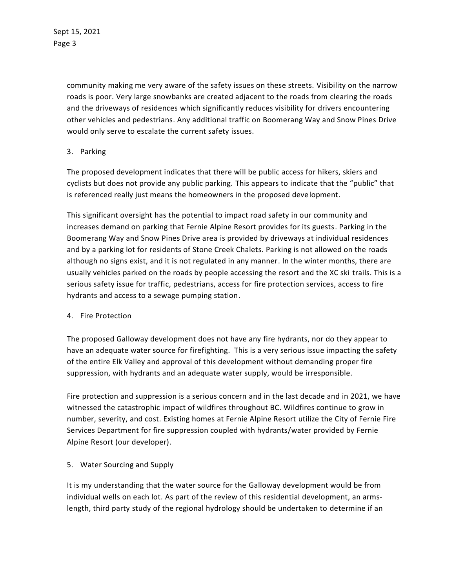Sept 15, 2021 Page 3

> community making me very aware of the safety issues on these streets. Visibility on the narrow roads is poor. Very large snowbanks are created adjacent to the roads from clearing the roads and the driveways of residences which significantly reduces visibility for drivers encountering other vehicles and pedestrians. Any additional traffic on Boomerang Way and Snow Pines Drive would only serve to escalate the current safety issues.

## 3. Parking

The proposed development indicates that there will be public access for hikers, skiers and cyclists but does not provide any public parking. This appears to indicate that the "public" that is referenced really just means the homeowners in the proposed development.

This significant oversight has the potential to impact road safety in our community and increases demand on parking that Fernie Alpine Resort provides for its guests. Parking in the Boomerang Way and Snow Pines Drive area is provided by driveways at individual residences and by a parking lot for residents of Stone Creek Chalets. Parking is not allowed on the roads although no signs exist, and it is not regulated in any manner. In the winter months, there are usually vehicles parked on the roads by people accessing the resort and the XC ski trails. This is a serious safety issue for traffic, pedestrians, access for fire protection services, access to fire hydrants and access to a sewage pumping station.

## 4. Fire Protection

The proposed Galloway development does not have any fire hydrants, nor do they appear to have an adequate water source for firefighting. This is a very serious issue impacting the safety of the entire Elk Valley and approval of this development without demanding proper fire suppression, with hydrants and an adequate water supply, would be irresponsible.

Fire protection and suppression is a serious concern and in the last decade and in 2021, we have witnessed the catastrophic impact of wildfires throughout BC. Wildfires continue to grow in number, severity, and cost. Existing homes at Fernie Alpine Resort utilize the City of Fernie Fire Services Department for fire suppression coupled with hydrants/water provided by Fernie Alpine Resort (our developer).

## 5. Water Sourcing and Supply

It is my understanding that the water source for the Galloway development would be from individual wells on each lot. As part of the review of this residential development, an armslength, third party study of the regional hydrology should be undertaken to determine if an